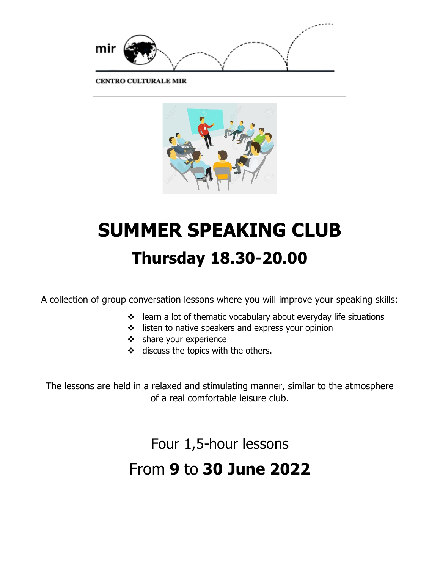

**CENTRO CULTURALE MIR** 



# **SUMMER SPEAKING CLUB Thursday 18.30-20.00**

A collection of group conversation lessons where you will improve your speaking skills:

- ❖ learn a lot of thematic vocabulary about everyday life situations
- ❖ listen to native speakers and express your opinion
- ❖ share your experience
- ❖ discuss the topics with the others.

The lessons are held in a relaxed and stimulating manner, similar to the atmosphere of a real comfortable leisure club.

Four 1,5-hour lessons

## From **9** to **30 June 2022**